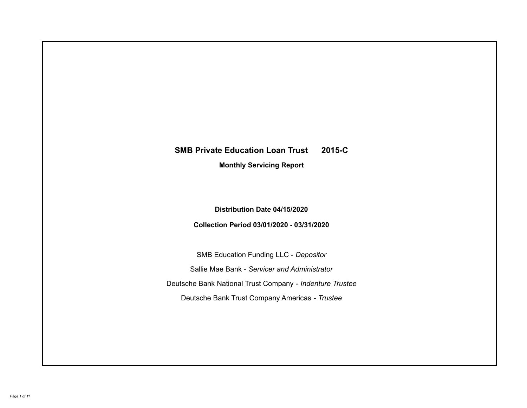# **SMB Private Education Loan Trust 2015-C Monthly Servicing Report**

**Distribution Date 04/15/2020**

**Collection Period 03/01/2020 - 03/31/2020**

SMB Education Funding LLC - *Depositor* Sallie Mae Bank - *Servicer and Administrator* Deutsche Bank National Trust Company - *Indenture Trustee* Deutsche Bank Trust Company Americas - *Trustee*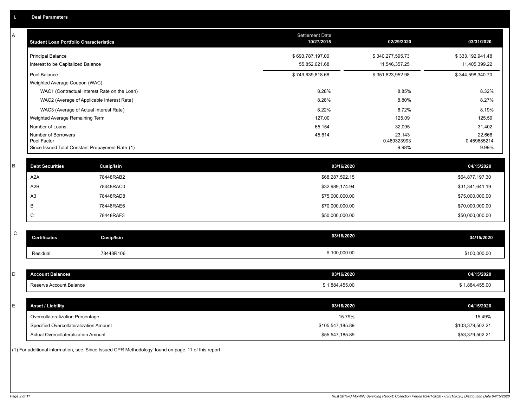| A            | <b>Student Loan Portfolio Characteristics</b>   |                                              | Settlement Date<br>10/27/2015 | 02/29/2020       | 03/31/2020       |
|--------------|-------------------------------------------------|----------------------------------------------|-------------------------------|------------------|------------------|
|              | <b>Principal Balance</b>                        |                                              | \$693,787,197.00              | \$340,277,595.73 | \$333,192,941.48 |
|              | Interest to be Capitalized Balance              |                                              | 55,852,621.68                 | 11,546,357.25    | 11,405,399.22    |
|              | Pool Balance                                    |                                              | \$749,639,818.68              | \$351,823,952.98 | \$344,598,340.70 |
|              | Weighted Average Coupon (WAC)                   |                                              |                               |                  |                  |
|              |                                                 | WAC1 (Contractual Interest Rate on the Loan) | 8.28%                         | 8.85%            | 8.32%            |
|              | WAC2 (Average of Applicable Interest Rate)      |                                              | 8.28%                         | 8.80%            | 8.27%            |
|              | WAC3 (Average of Actual Interest Rate)          |                                              | 8.22%                         | 8.72%            | 8.19%            |
|              | Weighted Average Remaining Term                 |                                              | 127.00                        | 125.09           | 125.59           |
|              | Number of Loans<br>Number of Borrowers          |                                              | 65,154<br>45,614              | 32,095<br>23,143 | 31,402<br>22,668 |
|              | Pool Factor                                     |                                              |                               | 0.469323993      | 0.459685214      |
|              | Since Issued Total Constant Prepayment Rate (1) |                                              |                               | 9.98%            | 9.99%            |
| В            | <b>Debt Securities</b>                          | <b>Cusip/Isin</b>                            | 03/16/2020                    |                  | 04/15/2020       |
|              | A <sub>2</sub> A                                | 78448RAB2                                    | \$68,287,592.15               |                  | \$64,877,197.30  |
|              | A <sub>2</sub> B                                | 78448RAC0                                    | \$32,989,174.94               |                  | \$31,341,641.19  |
|              | A <sub>3</sub>                                  | 78448RAD8                                    | \$75,000,000.00               |                  | \$75,000,000.00  |
|              | B                                               | 78448RAE6                                    | \$70,000,000.00               |                  | \$70,000,000.00  |
|              | C                                               | 78448RAF3                                    | \$50,000,000.00               |                  | \$50,000,000.00  |
|              |                                                 |                                              |                               |                  |                  |
| $\mathsf{C}$ | <b>Certificates</b>                             | <b>Cusip/Isin</b>                            | 03/16/2020                    |                  | 04/15/2020       |
|              | Residual                                        | 78448R106                                    | \$100,000.00                  |                  | \$100,000.00     |
|              |                                                 |                                              |                               |                  |                  |
| D            | <b>Account Balances</b>                         |                                              | 03/16/2020                    |                  | 04/15/2020       |
|              | Reserve Account Balance                         |                                              | \$1,884,455.00                |                  | \$1,884,455.00   |
|              |                                                 |                                              |                               |                  |                  |
| Е            | <b>Asset / Liability</b>                        |                                              | 03/16/2020                    |                  | 04/15/2020       |
|              | Overcollateralization Percentage                |                                              | 15.79%                        |                  | 15.49%           |
|              | Specified Overcollateralization Amount          |                                              | \$105,547,185.89              |                  | \$103,379,502.21 |
|              | Actual Overcollateralization Amount             |                                              | \$55,547,185.89               |                  | \$53,379,502.21  |

(1) For additional information, see 'Since Issued CPR Methodology' found on page 11 of this report.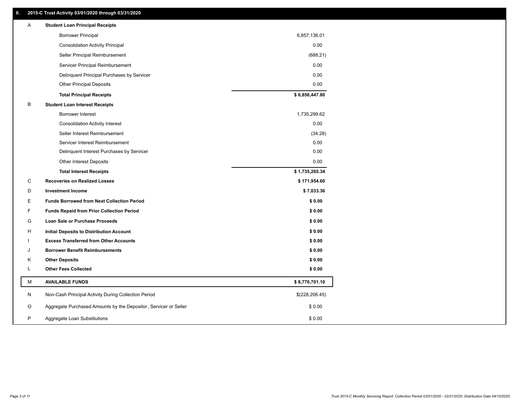# **II. 2015-C Trust Activity 03/01/2020 through 03/31/2020**

| <b>Borrower Principal</b><br>6,857,136.01                                       |  |
|---------------------------------------------------------------------------------|--|
| 0.00<br><b>Consolidation Activity Principal</b>                                 |  |
| Seller Principal Reimbursement<br>(688.21)                                      |  |
| 0.00<br>Servicer Principal Reimbursement                                        |  |
| 0.00<br>Delinquent Principal Purchases by Servicer                              |  |
| 0.00<br><b>Other Principal Deposits</b>                                         |  |
| \$6,856,447.80<br><b>Total Principal Receipts</b>                               |  |
| B<br><b>Student Loan Interest Receipts</b>                                      |  |
| <b>Borrower Interest</b><br>1,735,299.62                                        |  |
| 0.00<br><b>Consolidation Activity Interest</b>                                  |  |
| Seller Interest Reimbursement<br>(34.28)                                        |  |
| Servicer Interest Reimbursement<br>0.00                                         |  |
| 0.00<br>Delinquent Interest Purchases by Servicer                               |  |
| <b>Other Interest Deposits</b><br>0.00                                          |  |
| \$1,735,265.34<br><b>Total Interest Receipts</b>                                |  |
| C<br><b>Recoveries on Realized Losses</b><br>\$171,954.60                       |  |
| D<br><b>Investment Income</b><br>\$7,033.36                                     |  |
| Е<br><b>Funds Borrowed from Next Collection Period</b><br>\$0.00                |  |
| F<br>\$0.00<br><b>Funds Repaid from Prior Collection Period</b>                 |  |
| G<br>\$0.00<br><b>Loan Sale or Purchase Proceeds</b>                            |  |
| \$0.00<br>H<br>Initial Deposits to Distribution Account                         |  |
| \$0.00<br><b>Excess Transferred from Other Accounts</b>                         |  |
| J<br><b>Borrower Benefit Reimbursements</b><br>\$0.00                           |  |
| <b>Other Deposits</b><br>\$0.00<br>Κ                                            |  |
| L<br><b>Other Fees Collected</b><br>\$0.00                                      |  |
| М<br><b>AVAILABLE FUNDS</b><br>\$8,770,701.10                                   |  |
| N<br>Non-Cash Principal Activity During Collection Period<br>\$(228, 206.45)    |  |
| O<br>Aggregate Purchased Amounts by the Depositor, Servicer or Seller<br>\$0.00 |  |
| P<br>\$0.00<br>Aggregate Loan Substitutions                                     |  |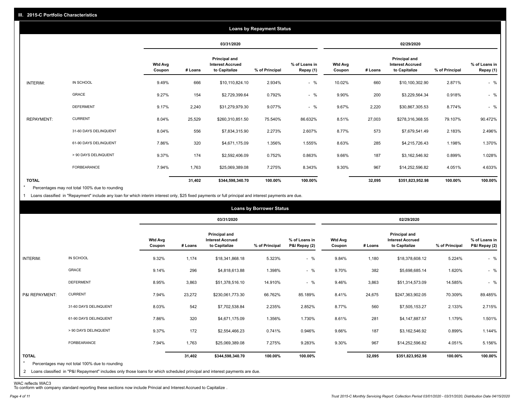|                   |                       |                          |         |                                                           | <b>Loans by Repayment Status</b> |                            |                          |         |                                                           |                |                            |
|-------------------|-----------------------|--------------------------|---------|-----------------------------------------------------------|----------------------------------|----------------------------|--------------------------|---------|-----------------------------------------------------------|----------------|----------------------------|
|                   |                       |                          |         | 03/31/2020                                                |                                  |                            |                          |         | 02/29/2020                                                |                |                            |
|                   |                       | <b>Wtd Avg</b><br>Coupon | # Loans | Principal and<br><b>Interest Accrued</b><br>to Capitalize | % of Principal                   | % of Loans in<br>Repay (1) | <b>Wtd Avg</b><br>Coupon | # Loans | Principal and<br><b>Interest Accrued</b><br>to Capitalize | % of Principal | % of Loans in<br>Repay (1) |
| INTERIM:          | IN SCHOOL             | 9.49%                    | 666     | \$10,110,824.10                                           | 2.934%                           | $-$ %                      | 10.02%                   | 660     | \$10,100,302.90                                           | 2.871%         | $-$ %                      |
|                   | GRACE                 | 9.27%                    | 154     | \$2,729,399.64                                            | 0.792%                           | $-$ %                      | 9.90%                    | 200     | \$3,229,564.34                                            | 0.918%         | $-$ %                      |
|                   | <b>DEFERMENT</b>      | 9.17%                    | 2,240   | \$31,279,979.30                                           | 9.077%                           | $-$ %                      | 9.67%                    | 2,220   | \$30,867,305.53                                           | 8.774%         | $-$ %                      |
| <b>REPAYMENT:</b> | <b>CURRENT</b>        | 8.04%                    | 25,529  | \$260,310,851.50                                          | 75.540%                          | 86.632%                    | 8.51%                    | 27,003  | \$278,316,368.55                                          | 79.107%        | 90.472%                    |
|                   | 31-60 DAYS DELINQUENT | 8.04%                    | 556     | \$7,834,315.90                                            | 2.273%                           | 2.607%                     | 8.77%                    | 573     | \$7,679,541.49                                            | 2.183%         | 2.496%                     |
|                   | 61-90 DAYS DELINQUENT | 7.86%                    | 320     | \$4,671,175.09                                            | 1.356%                           | 1.555%                     | 8.63%                    | 285     | \$4,215,726.43                                            | 1.198%         | 1.370%                     |
|                   | > 90 DAYS DELINQUENT  | 9.37%                    | 174     | \$2,592,406.09                                            | 0.752%                           | 0.863%                     | 9.66%                    | 187     | \$3,162,546.92                                            | 0.899%         | 1.028%                     |
|                   | FORBEARANCE           | 7.94%                    | 1,763   | \$25,069,389.08                                           | 7.275%                           | 8.343%                     | 9.30%                    | 967     | \$14,252,596.82                                           | 4.051%         | 4.633%                     |
| <b>TOTAL</b>      |                       |                          | 31,402  | \$344,598,340.70                                          | 100.00%                          | 100.00%                    |                          | 32,095  | \$351,823,952.98                                          | 100.00%        | 100.00%                    |

Percentages may not total 100% due to rounding  $\star$ 

1 Loans classified in "Repayment" include any loan for which interim interest only, \$25 fixed payments or full principal and interest payments are due.

|                     |                                                                                                                                                                                |                          |         |                                                                  | <b>Loans by Borrower Status</b> |                                |                          |         |                                                           |                |                                |
|---------------------|--------------------------------------------------------------------------------------------------------------------------------------------------------------------------------|--------------------------|---------|------------------------------------------------------------------|---------------------------------|--------------------------------|--------------------------|---------|-----------------------------------------------------------|----------------|--------------------------------|
|                     |                                                                                                                                                                                |                          |         | 03/31/2020                                                       |                                 |                                |                          |         | 02/29/2020                                                |                |                                |
|                     |                                                                                                                                                                                | <b>Wtd Avg</b><br>Coupon | # Loans | <b>Principal and</b><br><b>Interest Accrued</b><br>to Capitalize | % of Principal                  | % of Loans in<br>P&I Repay (2) | <b>Wtd Avg</b><br>Coupon | # Loans | Principal and<br><b>Interest Accrued</b><br>to Capitalize | % of Principal | % of Loans in<br>P&I Repay (2) |
| INTERIM:            | IN SCHOOL                                                                                                                                                                      | 9.32%                    | 1,174   | \$18,341,868.18                                                  | 5.323%                          | $-$ %                          | 9.84%                    | 1,180   | \$18,378,608.12                                           | 5.224%         | $-$ %                          |
|                     | GRACE                                                                                                                                                                          | 9.14%                    | 296     | \$4,818,613.88                                                   | 1.398%                          | $-$ %                          | 9.70%                    | 382     | \$5,698,685.14                                            | 1.620%         | $-$ %                          |
|                     | <b>DEFERMENT</b>                                                                                                                                                               | 8.95%                    | 3,863   | \$51,378,516.10                                                  | 14.910%                         | $-$ %                          | 9.46%                    | 3,863   | \$51,314,573.09                                           | 14.585%        | $-$ %                          |
| P&I REPAYMENT:      | <b>CURRENT</b>                                                                                                                                                                 | 7.94%                    | 23,272  | \$230,061,773.30                                                 | 66.762%                         | 85.189%                        | 8.41%                    | 24,675  | \$247,363,902.05                                          | 70.309%        | 89.485%                        |
|                     | 31-60 DAYS DELINQUENT                                                                                                                                                          | 8.03%                    | 542     | \$7,702,538.84                                                   | 2.235%                          | 2.852%                         | 8.77%                    | 560     | \$7,505,153.27                                            | 2.133%         | 2.715%                         |
|                     | 61-90 DAYS DELINQUENT                                                                                                                                                          | 7.86%                    | 320     | \$4,671,175.09                                                   | 1.356%                          | 1.730%                         | 8.61%                    | 281     | \$4,147,887.57                                            | 1.179%         | 1.501%                         |
|                     | > 90 DAYS DELINQUENT                                                                                                                                                           | 9.37%                    | 172     | \$2,554,466.23                                                   | 0.741%                          | 0.946%                         | 9.66%                    | 187     | \$3,162,546.92                                            | 0.899%         | 1.144%                         |
|                     | FORBEARANCE                                                                                                                                                                    | 7.94%                    | 1,763   | \$25,069,389.08                                                  | 7.275%                          | 9.283%                         | 9.30%                    | 967     | \$14,252,596.82                                           | 4.051%         | 5.156%                         |
| <b>TOTAL</b><br>$*$ | Percentages may not total 100% due to rounding<br>2 Loans classified in "P&I Repayment" includes only those loans for which scheduled principal and interest payments are due. |                          | 31,402  | \$344,598,340.70                                                 | 100.00%                         | 100.00%                        |                          | 32,095  | \$351,823,952.98                                          | 100.00%        | 100.00%                        |

WAC reflects WAC3 To conform with company standard reporting these sections now include Princial and Interest Accrued to Capitalize .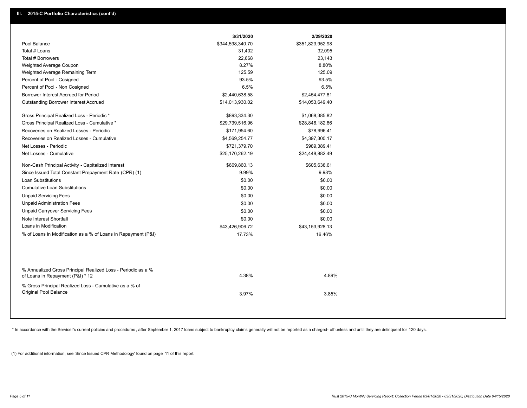|                                                                                                  | 3/31/2020        | 2/29/2020        |  |
|--------------------------------------------------------------------------------------------------|------------------|------------------|--|
| Pool Balance                                                                                     | \$344,598,340.70 | \$351,823,952.98 |  |
| Total # Loans                                                                                    | 31,402           | 32,095           |  |
| Total # Borrowers                                                                                | 22,668           | 23,143           |  |
| Weighted Average Coupon                                                                          | 8.27%            | 8.80%            |  |
| Weighted Average Remaining Term                                                                  | 125.59           | 125.09           |  |
| Percent of Pool - Cosigned                                                                       | 93.5%            | 93.5%            |  |
| Percent of Pool - Non Cosigned                                                                   | 6.5%             | 6.5%             |  |
| Borrower Interest Accrued for Period                                                             | \$2,440,638.58   | \$2,454,477.81   |  |
| Outstanding Borrower Interest Accrued                                                            | \$14,013,930.02  | \$14,053,649.40  |  |
| Gross Principal Realized Loss - Periodic *                                                       | \$893,334.30     | \$1,068,385.82   |  |
| Gross Principal Realized Loss - Cumulative *                                                     | \$29,739,516.96  | \$28,846,182.66  |  |
| Recoveries on Realized Losses - Periodic                                                         | \$171,954.60     | \$78,996.41      |  |
| Recoveries on Realized Losses - Cumulative                                                       | \$4,569,254.77   | \$4,397,300.17   |  |
| Net Losses - Periodic                                                                            | \$721,379.70     | \$989,389.41     |  |
| Net Losses - Cumulative                                                                          | \$25,170,262.19  | \$24,448,882.49  |  |
| Non-Cash Principal Activity - Capitalized Interest                                               | \$669,860.13     | \$605,638.61     |  |
| Since Issued Total Constant Prepayment Rate (CPR) (1)                                            | 9.99%            | 9.98%            |  |
| <b>Loan Substitutions</b>                                                                        | \$0.00           | \$0.00           |  |
| <b>Cumulative Loan Substitutions</b>                                                             | \$0.00           | \$0.00           |  |
| <b>Unpaid Servicing Fees</b>                                                                     | \$0.00           | \$0.00           |  |
| <b>Unpaid Administration Fees</b>                                                                | \$0.00           | \$0.00           |  |
| <b>Unpaid Carryover Servicing Fees</b>                                                           | \$0.00           | \$0.00           |  |
| Note Interest Shortfall                                                                          | \$0.00           | \$0.00           |  |
| Loans in Modification                                                                            | \$43,426,906.72  | \$43,153,928.13  |  |
| % of Loans in Modification as a % of Loans in Repayment (P&I)                                    | 17.73%           | 16.46%           |  |
|                                                                                                  |                  |                  |  |
| % Annualized Gross Principal Realized Loss - Periodic as a %<br>of Loans in Repayment (P&I) * 12 | 4.38%            | 4.89%            |  |
| % Gross Principal Realized Loss - Cumulative as a % of                                           |                  |                  |  |
| Original Pool Balance                                                                            | 3.97%            | 3.85%            |  |

\* In accordance with the Servicer's current policies and procedures, after September 1, 2017 loans subject to bankruptcy claims generally will not be reported as a charged- off unless and until they are delinquent for 120

(1) For additional information, see 'Since Issued CPR Methodology' found on page 11 of this report.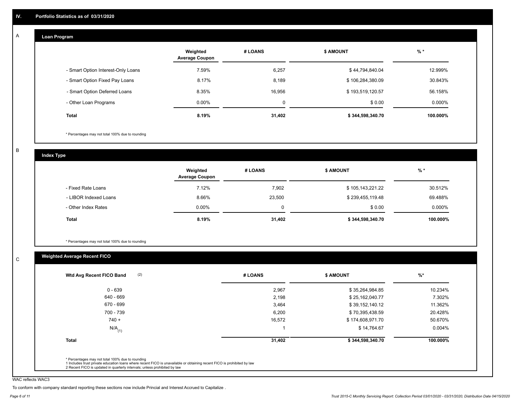#### **Loan Program**  A

|                                    | Weighted<br><b>Average Coupon</b> | # LOANS     | <b>\$ AMOUNT</b> | $%$ *    |
|------------------------------------|-----------------------------------|-------------|------------------|----------|
| - Smart Option Interest-Only Loans | 7.59%                             | 6,257       | \$44,794,840.04  | 12.999%  |
| - Smart Option Fixed Pay Loans     | 8.17%                             | 8,189       | \$106,284,380.09 | 30.843%  |
| - Smart Option Deferred Loans      | 8.35%                             | 16.956      | \$193,519,120.57 | 56.158%  |
| - Other Loan Programs              | $0.00\%$                          | $\sim$<br>υ | \$0.00           | 0.000%   |
| <b>Total</b>                       | 8.19%                             | 31,402      | \$344,598,340.70 | 100.000% |

\* Percentages may not total 100% due to rounding

B

C

**Index Type**

|                       | Weighted<br><b>Average Coupon</b> | # LOANS | <b>\$ AMOUNT</b> | $%$ *     |
|-----------------------|-----------------------------------|---------|------------------|-----------|
| - Fixed Rate Loans    | 7.12%                             | 7,902   | \$105,143,221.22 | 30.512%   |
| - LIBOR Indexed Loans | 8.66%                             | 23,500  | \$239,455,119.48 | 69.488%   |
| - Other Index Rates   | $0.00\%$                          |         | \$0.00           | $0.000\%$ |
| Total                 | 8.19%                             | 31,402  | \$344,598,340.70 | 100.000%  |

\* Percentages may not total 100% due to rounding

# **Weighted Average Recent FICO**

| (2)<br>Wtd Avg Recent FICO Band | # LOANS | <b>\$ AMOUNT</b> | $\frac{9}{6}$ * |
|---------------------------------|---------|------------------|-----------------|
| $0 - 639$                       | 2,967   | \$35,264,984.85  | 10.234%         |
| 640 - 669                       | 2,198   | \$25,162,040.77  | 7.302%          |
| 670 - 699                       | 3,464   | \$39,152,140.12  | 11.362%         |
| 700 - 739                       | 6,200   | \$70,395,438.59  | 20.428%         |
| $740 +$                         | 16,572  | \$174,608,971.70 | 50.670%         |
| $N/A$ <sub>(1)</sub>            |         | \$14,764.67      | 0.004%          |
| <b>Total</b>                    | 31,402  | \$344,598,340.70 | 100.000%        |

WAC reflects WAC3

To conform with company standard reporting these sections now include Princial and Interest Accrued to Capitalize .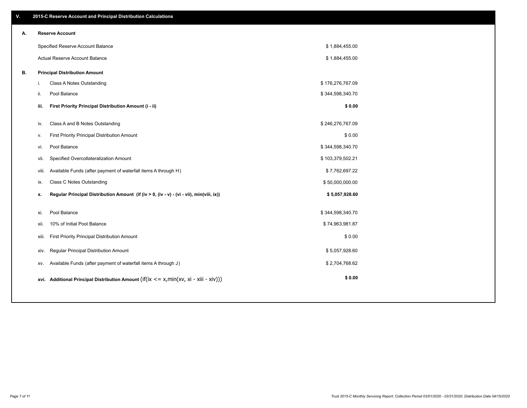| V. |       | 2015-C Reserve Account and Principal Distribution Calculations                             |                  |  |
|----|-------|--------------------------------------------------------------------------------------------|------------------|--|
| А. |       | <b>Reserve Account</b>                                                                     |                  |  |
|    |       | Specified Reserve Account Balance                                                          | \$1,884,455.00   |  |
|    |       | Actual Reserve Account Balance                                                             | \$1,884,455.00   |  |
| В. |       | <b>Principal Distribution Amount</b>                                                       |                  |  |
|    | i.    | Class A Notes Outstanding                                                                  | \$176,276,767.09 |  |
|    | ji.   | Pool Balance                                                                               | \$344,598,340.70 |  |
|    | iii.  | First Priority Principal Distribution Amount (i - ii)                                      | \$0.00           |  |
|    | iv.   | Class A and B Notes Outstanding                                                            | \$246,276,767.09 |  |
|    | v.    | First Priority Principal Distribution Amount                                               | \$0.00           |  |
|    | vi.   | Pool Balance                                                                               | \$344,598,340.70 |  |
|    | vii.  | Specified Overcollateralization Amount                                                     | \$103,379,502.21 |  |
|    | viii. | Available Funds (after payment of waterfall items A through H)                             | \$7,762,697.22   |  |
|    | ix.   | <b>Class C Notes Outstanding</b>                                                           | \$50,000,000.00  |  |
|    | x.    | Regular Principal Distribution Amount (if (iv > 0, (iv - v) - (vi - vii), min(viii, ix))   | \$5,057,928.60   |  |
|    |       |                                                                                            |                  |  |
|    | xi.   | Pool Balance                                                                               | \$344,598,340.70 |  |
|    | XII.  | 10% of Initial Pool Balance                                                                | \$74,963,981.87  |  |
|    | xiii. | First Priority Principal Distribution Amount                                               | \$0.00           |  |
|    | XIV.  | Regular Principal Distribution Amount                                                      | \$5,057,928.60   |  |
|    | XV.   | Available Funds (after payment of waterfall items A through J)                             | \$2,704,768.62   |  |
|    |       | xvi. Additional Principal Distribution Amount (if(ix $\lt$ = x, min(xv, xi - xiii - xiv))) | \$0.00           |  |
|    |       |                                                                                            |                  |  |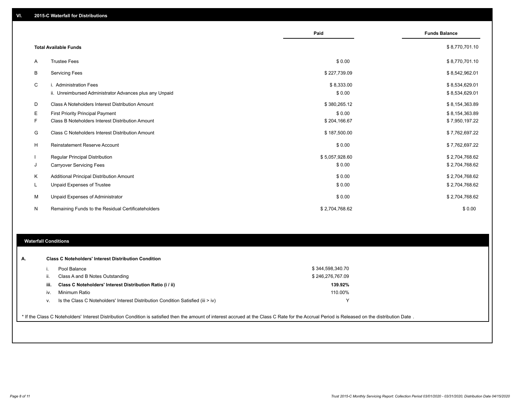|    |                                                         | Paid           | <b>Funds Balance</b> |
|----|---------------------------------------------------------|----------------|----------------------|
|    | <b>Total Available Funds</b>                            |                | \$8,770,701.10       |
| Α  | <b>Trustee Fees</b>                                     | \$0.00         | \$8,770,701.10       |
| В  | <b>Servicing Fees</b>                                   | \$227,739.09   | \$8,542,962.01       |
| C  | i. Administration Fees                                  | \$8,333.00     | \$8,534,629.01       |
|    | ii. Unreimbursed Administrator Advances plus any Unpaid | \$0.00         | \$8,534,629.01       |
| D  | Class A Noteholders Interest Distribution Amount        | \$380,265.12   | \$8,154,363.89       |
| Е  | First Priority Principal Payment                        | \$0.00         | \$8,154,363.89       |
| F. | Class B Noteholders Interest Distribution Amount        | \$204,166.67   | \$7,950,197.22       |
| G  | Class C Noteholders Interest Distribution Amount        | \$187,500.00   | \$7,762,697.22       |
| H  | Reinstatement Reserve Account                           | \$0.00         | \$7,762,697.22       |
|    | Regular Principal Distribution                          | \$5,057,928.60 | \$2,704,768.62       |
| J  | <b>Carryover Servicing Fees</b>                         | \$0.00         | \$2,704,768.62       |
| Κ  | Additional Principal Distribution Amount                | \$0.00         | \$2,704,768.62       |
| L  | Unpaid Expenses of Trustee                              | \$0.00         | \$2,704,768.62       |
| м  | Unpaid Expenses of Administrator                        | \$0.00         | \$2,704,768.62       |
| N  | Remaining Funds to the Residual Certificateholders      | \$2,704,768.62 | \$0.00               |

# **Waterfall Conditions**

|      | Pool Balance                                                                     | \$344,598,340.70 |  |
|------|----------------------------------------------------------------------------------|------------------|--|
| Ш.   | Class A and B Notes Outstanding                                                  | \$246,276,767.09 |  |
| iii. | Class C Noteholders' Interest Distribution Ratio (i / ii)                        | 139.92%          |  |
| iv.  | Minimum Ratio                                                                    | 110.00%          |  |
|      | Is the Class C Noteholders' Interest Distribution Condition Satisfied (iii > iv) | v                |  |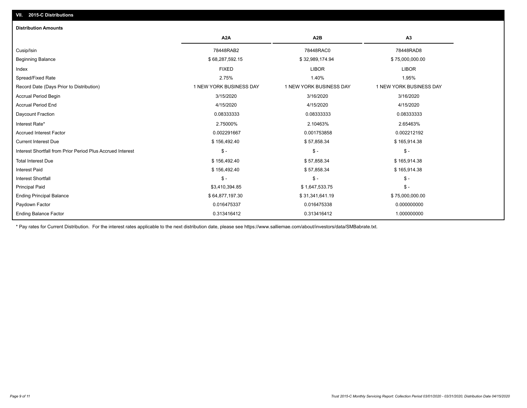# **VII. 2015-C Distributions**

| <b>Distribution Amounts</b>                                |                         |                         |                         |
|------------------------------------------------------------|-------------------------|-------------------------|-------------------------|
|                                                            | A <sub>2</sub> A        | A <sub>2</sub> B        | A <sub>3</sub>          |
| Cusip/Isin                                                 | 78448RAB2               | 78448RAC0               | 78448RAD8               |
| <b>Beginning Balance</b>                                   | \$68,287,592.15         | \$32,989,174.94         | \$75,000,000.00         |
| Index                                                      | <b>FIXED</b>            | <b>LIBOR</b>            | <b>LIBOR</b>            |
| Spread/Fixed Rate                                          | 2.75%                   | 1.40%                   | 1.95%                   |
| Record Date (Days Prior to Distribution)                   | 1 NEW YORK BUSINESS DAY | 1 NEW YORK BUSINESS DAY | 1 NEW YORK BUSINESS DAY |
| <b>Accrual Period Begin</b>                                | 3/15/2020               | 3/16/2020               | 3/16/2020               |
| <b>Accrual Period End</b>                                  | 4/15/2020               | 4/15/2020               | 4/15/2020               |
| Daycount Fraction                                          | 0.08333333              | 0.08333333              | 0.08333333              |
| Interest Rate*                                             | 2.75000%                | 2.10463%                | 2.65463%                |
| <b>Accrued Interest Factor</b>                             | 0.002291667             | 0.001753858             | 0.002212192             |
| <b>Current Interest Due</b>                                | \$156,492.40            | \$57,858.34             | \$165,914.38            |
| Interest Shortfall from Prior Period Plus Accrued Interest | $\mathsf{\$}$ -         | $\frac{1}{2}$           | $\frac{1}{2}$           |
| <b>Total Interest Due</b>                                  | \$156,492.40            | \$57,858.34             | \$165,914.38            |
| <b>Interest Paid</b>                                       | \$156,492.40            | \$57,858.34             | \$165,914.38            |
| Interest Shortfall                                         | $\mathsf{\$}$ -         | $\mathsf{\$}$ -         | $\mathsf{\$}$ -         |
| <b>Principal Paid</b>                                      | \$3,410,394.85          | \$1,647,533.75          | $\mathsf{\$}$ -         |
| <b>Ending Principal Balance</b>                            | \$64,877,197.30         | \$31,341,641.19         | \$75,000,000.00         |
| Paydown Factor                                             | 0.016475337             | 0.016475338             | 0.000000000             |
| <b>Ending Balance Factor</b>                               | 0.313416412             | 0.313416412             | 1.000000000             |

\* Pay rates for Current Distribution. For the interest rates applicable to the next distribution date, please see https://www.salliemae.com/about/investors/data/SMBabrate.txt.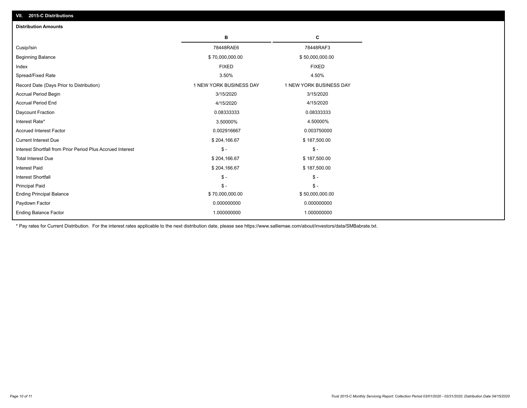| <b>Distribution Amounts</b>                                |                         |                         |
|------------------------------------------------------------|-------------------------|-------------------------|
|                                                            | в                       | C                       |
| Cusip/Isin                                                 | 78448RAE6               | 78448RAF3               |
| <b>Beginning Balance</b>                                   | \$70,000,000.00         | \$50,000,000.00         |
| Index                                                      | <b>FIXED</b>            | <b>FIXED</b>            |
| Spread/Fixed Rate                                          | 3.50%                   | 4.50%                   |
| Record Date (Days Prior to Distribution)                   | 1 NEW YORK BUSINESS DAY | 1 NEW YORK BUSINESS DAY |
| <b>Accrual Period Begin</b>                                | 3/15/2020               | 3/15/2020               |
| <b>Accrual Period End</b>                                  | 4/15/2020               | 4/15/2020               |
| Daycount Fraction                                          | 0.08333333              | 0.08333333              |
| Interest Rate*                                             | 3.50000%                | 4.50000%                |
| <b>Accrued Interest Factor</b>                             | 0.002916667             | 0.003750000             |
| <b>Current Interest Due</b>                                | \$204,166.67            | \$187,500.00            |
| Interest Shortfall from Prior Period Plus Accrued Interest | $\mathcal{S}$ -         | $\frac{1}{2}$           |
| <b>Total Interest Due</b>                                  | \$204,166.67            | \$187,500.00            |
| Interest Paid                                              | \$204,166.67            | \$187,500.00            |
| <b>Interest Shortfall</b>                                  | $\mathcal{S}$ -         | $\frac{1}{2}$           |
| <b>Principal Paid</b>                                      | $\mathsf{\$}$ -         | $\mathsf{\$}$ -         |
| <b>Ending Principal Balance</b>                            | \$70,000,000.00         | \$50,000,000.00         |
| Paydown Factor                                             | 0.000000000             | 0.000000000             |
| <b>Ending Balance Factor</b>                               | 1.000000000             | 1.000000000             |

\* Pay rates for Current Distribution. For the interest rates applicable to the next distribution date, please see https://www.salliemae.com/about/investors/data/SMBabrate.txt.

**VII. 2015-C Distributions**